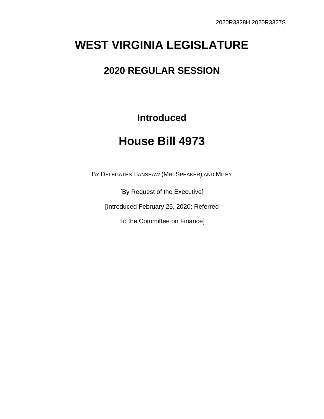## **WEST VIRGINIA LEGISLATURE**

## **2020 REGULAR SESSION**

**Introduced**

## **House Bill 4973**

BY DELEGATES HANSHAW (MR. SPEAKER) AND MILEY

[By Request of the Executive]

[Introduced February 25, 2020; Referred

To the Committee on Finance]